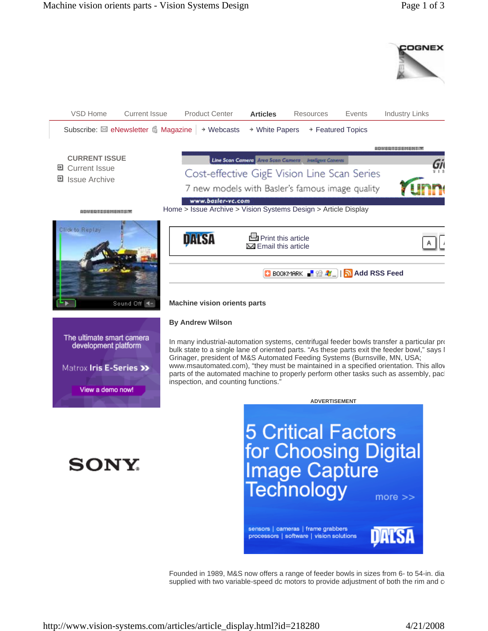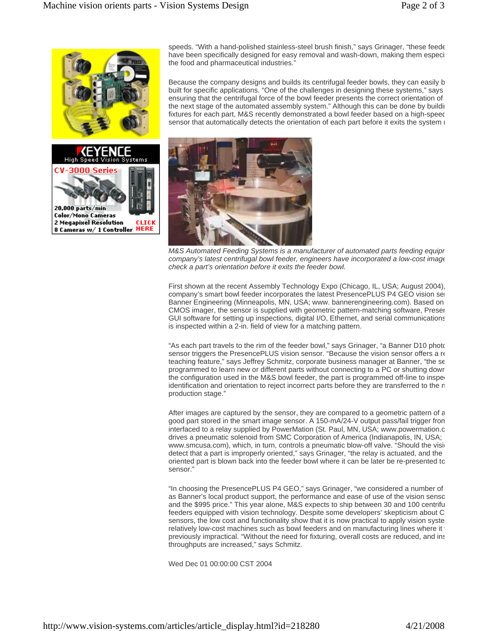

speeds. "With a hand-polished stainless-steel brush finish," says Grinager, "these feede have been specifically designed for easy removal and wash-down, making them especi the food and pharmaceutical industries."

Because the company designs and builds its centrifugal feeder bowls, they can easily b built for specific applications. "One of the challenges in designing these systems," says ensuring that the centrifugal force of the bowl feeder presents the correct orientation of the next stage of the automated assembly system." Although this can be done by building fixtures for each part, M&S recently demonstrated a bowl feeder based on a high-speec sensor that automatically detects the orientation of each part before it exits the system (



*M&S Automated Feeding Systems is a manufacturer of automated parts feeding equipm company's latest centrifugal bowl feeder, engineers have incorporated a low-cost image check a part's orientation before it exits the feeder bowl.* 

First shown at the recent Assembly Technology Expo (Chicago, IL, USA; August 2004), company's smart bowl feeder incorporates the latest PresencePLUS P4 GEO vision sen Banner Engineering (Minneapolis, MN, USA; www. bannerengineering.com). Based on CMOS imager, the sensor is supplied with geometric pattern-matching software, Presen GUI software for setting up inspections, digital I/O, Ethernet, and serial communications is inspected within a 2-in. field of view for a matching pattern.

"As each part travels to the rim of the feeder bowl," says Grinager, "a Banner D10 photo sensor triggers the PresencePLUS vision sensor. "Because the vision sensor offers a re teaching feature," says Jeffrey Schmitz, corporate business manager at Banner, "the se programmed to learn new or different parts without connecting to a PC or shutting down the configuration used in the M&S bowl feeder, the part is programmed off-line to inspe identification and orientation to reject incorrect parts before they are transferred to the n production stage."

After images are captured by the sensor, they are compared to a geometric pattern of a good part stored in the smart image sensor. A 150-mA/24-V output pass/fail trigger from interfaced to a relay supplied by PowerMation (St. Paul, MN, USA; www.powermation.c drives a pneumatic solenoid from SMC Corporation of America (Indianapolis, IN, USA; www.smcusa.com), which, in turn, controls a pneumatic blow-off valve. "Should the visio detect that a part is improperly oriented," says Grinager, "the relay is actuated, and the oriented part is blown back into the feeder bowl where it can be later be re-presented to sensor."

"In choosing the PresencePLUS P4 GEO," says Grinager, "we considered a number of as Banner's local product support, the performance and ease of use of the vision senso and the \$995 price." This year alone, M&S expects to ship between 30 and 100 centrifu feeders equipped with vision technology. Despite some developers' skepticism about C sensors, the low cost and functionality show that it is now practical to apply vision syste relatively low-cost machines such as bowl feeders and on manufacturing lines where it previously impractical. "Without the need for fixturing, overall costs are reduced, and ins throughputs are increased," says Schmitz.

Wed Dec 01 00:00:00 CST 2004